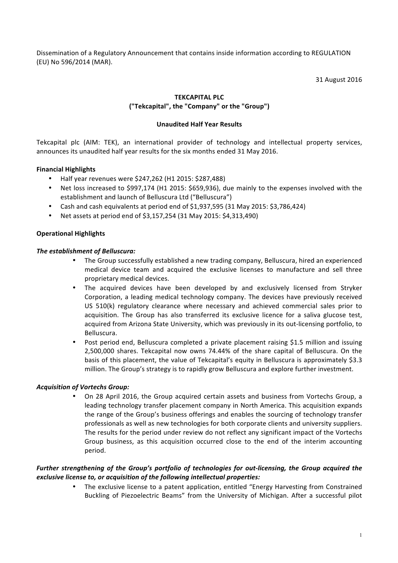Dissemination of a Regulatory Announcement that contains inside information according to REGULATION (EU) No 596/2014 (MAR).

31 August 2016

### **TEKCAPITAL PLC**

### **("Tekcapital", the "Company" or the "Group")**

### **Unaudited Half Year Results**

Tekcapital plc (AIM: TEK), an international provider of technology and intellectual property services, announces its unaudited half year results for the six months ended 31 May 2016.

### **Financial Highlights**

- Half year revenues were \$247,262 (H1 2015: \$287,488)
- Net loss increased to \$997,174 (H1 2015: \$659,936), due mainly to the expenses involved with the establishment and launch of Belluscura Ltd ("Belluscura")
- Cash and cash equivalents at period end of \$1,937,595 (31 May 2015: \$3,786,424)
- Net assets at period end of \$3,157,254 (31 May 2015: \$4,313,490)

### **Operational Highlights**

### **The establishment of Belluscura:**

- The Group successfully established a new trading company, Belluscura, hired an experienced medical device team and acquired the exclusive licenses to manufacture and sell three proprietary medical devices.
- The acquired devices have been developed by and exclusively licensed from Stryker Corporation, a leading medical technology company. The devices have previously received US 510(k) regulatory clearance where necessary and achieved commercial sales prior to acquisition. The Group has also transferred its exclusive licence for a saliva glucose test, acquired from Arizona State University, which was previously in its out-licensing portfolio, to Belluscura.
- Post period end, Belluscura completed a private placement raising \$1.5 million and issuing 2,500,000 shares. Tekcapital now owns 74.44% of the share capital of Belluscura. On the basis of this placement, the value of Tekcapital's equity in Belluscura is approximately \$3.3 million. The Group's strategy is to rapidly grow Belluscura and explore further investment.

### *Acquisition of Vortechs Group:*

On 28 April 2016, the Group acquired certain assets and business from Vortechs Group, a leading technology transfer placement company in North America. This acquisition expands the range of the Group's business offerings and enables the sourcing of technology transfer professionals as well as new technologies for both corporate clients and university suppliers. The results for the period under review do not reflect any significant impact of the Vortechs Group business, as this acquisition occurred close to the end of the interim accounting period. 

### *Further strengthening of the Group's portfolio of technologies for out-licensing, the Group acquired the exclusive license to, or acquisition of the following intellectual properties:*

The exclusive license to a patent application, entitled "Energy Harvesting from Constrained Buckling of Piezoelectric Beams" from the University of Michigan. After a successful pilot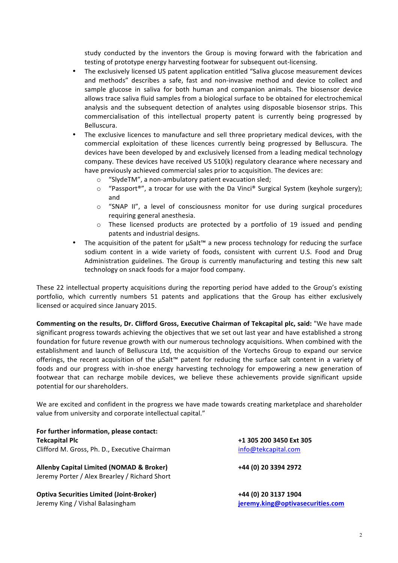study conducted by the inventors the Group is moving forward with the fabrication and testing of prototype energy harvesting footwear for subsequent out-licensing.

- The exclusively licensed US patent application entitled "Saliva glucose measurement devices and methods" describes a safe, fast and non-invasive method and device to collect and sample glucose in saliva for both human and companion animals. The biosensor device allows trace saliva fluid samples from a biological surface to be obtained for electrochemical analysis and the subsequent detection of analytes using disposable biosensor strips. This commercialisation of this intellectual property patent is currently being progressed by Belluscura.
- The exclusive licences to manufacture and sell three proprietary medical devices, with the commercial exploitation of these licences currently being progressed by Belluscura. The devices have been developed by and exclusively licensed from a leading medical technology company. These devices have received US  $510(k)$  regulatory clearance where necessary and have previously achieved commercial sales prior to acquisition. The devices are:
	- $\circ$  "SlydeTM", a non-ambulatory patient evacuation sled;
	- $\circ$  "Passport®", a trocar for use with the Da Vinci® Surgical System (keyhole surgery); and
	- $\circ$  "SNAP II", a level of consciousness monitor for use during surgical procedures requiring general anesthesia.
	- $\circ$  These licensed products are protected by a portfolio of 19 issued and pending patents and industrial designs.
- The acquisition of the patent for  $\mu$ Salt™ a new process technology for reducing the surface sodium content in a wide variety of foods, consistent with current U.S. Food and Drug Administration guidelines. The Group is currently manufacturing and testing this new salt technology on snack foods for a major food company.

These 22 intellectual property acquisitions during the reporting period have added to the Group's existing portfolio, which currently numbers 51 patents and applications that the Group has either exclusively licensed or acquired since January 2015.

**Commenting on the results, Dr. Clifford Gross, Executive Chairman of Tekcapital plc, said:** "We have made significant progress towards achieving the objectives that we set out last year and have established a strong foundation for future revenue growth with our numerous technology acquisitions. When combined with the establishment and launch of Belluscura Ltd, the acquisition of the Vortechs Group to expand our service offerings, the recent acquisition of the  $\mu$ Salt<sup>™</sup> patent for reducing the surface salt content in a variety of foods and our progress with in-shoe energy harvesting technology for empowering a new generation of footwear that can recharge mobile devices, we believe these achievements provide significant upside potential for our shareholders.

We are excited and confident in the progress we have made towards creating marketplace and shareholder value from university and corporate intellectual capital."

For further information, please contact: **Tekcapital Plc** Clifford M. Gross, Ph. D., Executive Chairman

**Allenby Capital Limited (NOMAD & Broker) +44 (0) 20 3394 2972** Jeremy Porter / Alex Brearley / Richard Short

**Optiva Securities Limited (Joint-Broker) 1904 +44 (0)** 20 3137 1904 Jeremy King / Vishal Balasingham **intervalsion and the set of the set of the set of the set of the set of the set of the set of the set of the set of the set of the set of the set of the set of the set of the set of the se** 

**+1 305 200 3450 Ext 305** info@tekcapital.com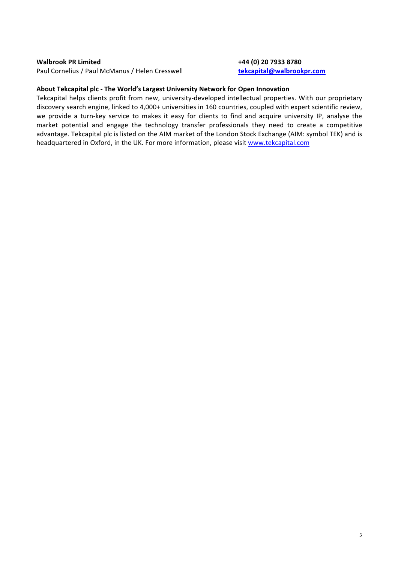### **Walbrook PR Limited <b>+44** (0) 20 7933 8780

Paul Cornelius / Paul McManus / Helen Cresswell **tekcapital@walbrookpr.com** 

### About Tekcapital plc - The World's Largest University Network for Open Innovation

Tekcapital helps clients profit from new, university-developed intellectual properties. With our proprietary discovery search engine, linked to 4,000+ universities in 160 countries, coupled with expert scientific review, we provide a turn-key service to makes it easy for clients to find and acquire university IP, analyse the market potential and engage the technology transfer professionals they need to create a competitive advantage. Tekcapital plc is listed on the AIM market of the London Stock Exchange (AIM: symbol TEK) and is headquartered in Oxford, in the UK. For more information, please visit www.tekcapital.com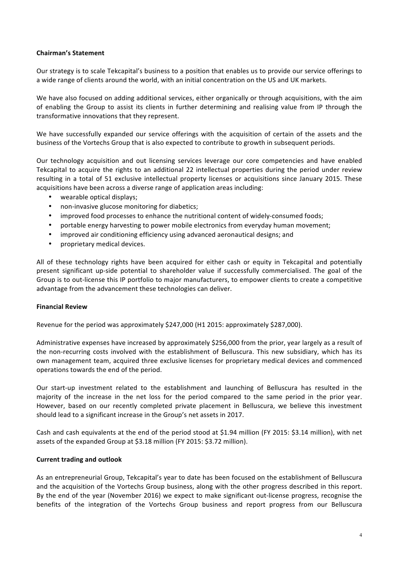### **Chairman's Statement**

Our strategy is to scale Tekcapital's business to a position that enables us to provide our service offerings to a wide range of clients around the world, with an initial concentration on the US and UK markets.

We have also focused on adding additional services, either organically or through acquisitions, with the aim of enabling the Group to assist its clients in further determining and realising value from IP through the transformative innovations that they represent.

We have successfully expanded our service offerings with the acquisition of certain of the assets and the business of the Vortechs Group that is also expected to contribute to growth in subsequent periods.

Our technology acquisition and out licensing services leverage our core competencies and have enabled Tekcapital to acquire the rights to an additional 22 intellectual properties during the period under review resulting in a total of 51 exclusive intellectual property licenses or acquisitions since January 2015. These acquisitions have been across a diverse range of application areas including:

- wearable optical displays;
- non-invasive glucose monitoring for diabetics;
- improved food processes to enhance the nutritional content of widely-consumed foods;
- portable energy harvesting to power mobile electronics from everyday human movement;
- improved air conditioning efficiency using advanced aeronautical designs; and
- proprietary medical devices.

All of these technology rights have been acquired for either cash or equity in Tekcapital and potentially present significant up-side potential to shareholder value if successfully commercialised. The goal of the Group is to out-license this IP portfolio to major manufacturers, to empower clients to create a competitive advantage from the advancement these technologies can deliver.

### **Financial Review**

Revenue for the period was approximately \$247,000 (H1 2015: approximately \$287,000).

Administrative expenses have increased by approximately \$256,000 from the prior, year largely as a result of the non-recurring costs involved with the establishment of Belluscura. This new subsidiary, which has its own management team, acquired three exclusive licenses for proprietary medical devices and commenced operations towards the end of the period.

Our start-up investment related to the establishment and launching of Belluscura has resulted in the majority of the increase in the net loss for the period compared to the same period in the prior year. However, based on our recently completed private placement in Belluscura, we believe this investment should lead to a significant increase in the Group's net assets in 2017.

Cash and cash equivalents at the end of the period stood at \$1.94 million (FY 2015: \$3.14 million), with net assets of the expanded Group at \$3.18 million (FY 2015: \$3.72 million).

### **Current trading and outlook**

As an entrepreneurial Group, Tekcapital's year to date has been focused on the establishment of Belluscura and the acquisition of the Vortechs Group business, along with the other progress described in this report. By the end of the year (November 2016) we expect to make significant out-license progress, recognise the benefits of the integration of the Vortechs Group business and report progress from our Belluscura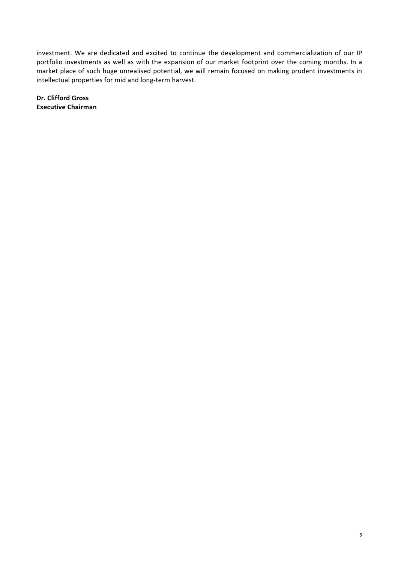investment. We are dedicated and excited to continue the development and commercialization of our IP portfolio investments as well as with the expansion of our market footprint over the coming months. In a market place of such huge unrealised potential, we will remain focused on making prudent investments in intellectual properties for mid and long-term harvest.

**Dr. Clifford Gross Executive Chairman**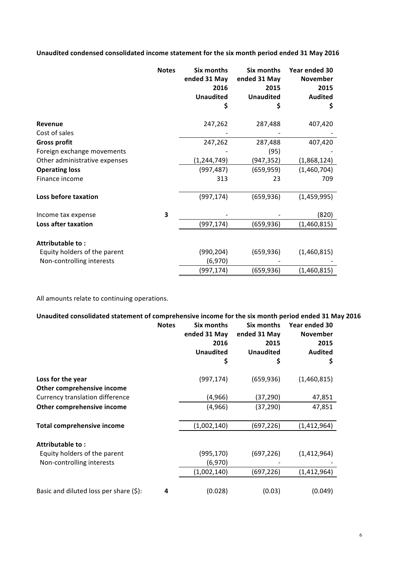Unaudited condensed consolidated income statement for the six month period ended 31 May 2016

|                               | <b>Notes</b> | <b>Six months</b><br>ended 31 May<br>2016<br><b>Unaudited</b><br>\$ | Six months<br>ended 31 May<br>2015<br><b>Unaudited</b><br>\$ | Year ended 30<br>November<br>2015<br><b>Audited</b><br>\$ |
|-------------------------------|--------------|---------------------------------------------------------------------|--------------------------------------------------------------|-----------------------------------------------------------|
|                               |              |                                                                     |                                                              |                                                           |
| Revenue                       |              | 247,262                                                             | 287,488                                                      | 407,420                                                   |
| Cost of sales                 |              |                                                                     |                                                              |                                                           |
| <b>Gross profit</b>           |              | 247,262                                                             | 287,488                                                      | 407,420                                                   |
| Foreign exchange movements    |              |                                                                     | (95)                                                         |                                                           |
| Other administrative expenses |              | (1, 244, 749)                                                       | (947, 352)                                                   | (1,868,124)                                               |
| <b>Operating loss</b>         |              | (997, 487)                                                          | (659, 959)                                                   | (1,460,704)                                               |
| Finance income                |              | 313                                                                 | 23                                                           | 709                                                       |
| Loss before taxation          |              | (997, 174)                                                          | (659, 936)                                                   | (1,459,995)                                               |
| Income tax expense            | 3            |                                                                     |                                                              | (820)                                                     |
| <b>Loss after taxation</b>    |              | (997, 174)                                                          | (659,936)                                                    | (1,460,815)                                               |
| Attributable to:              |              |                                                                     |                                                              |                                                           |
| Equity holders of the parent  |              | (990, 204)                                                          | (659, 936)                                                   | (1,460,815)                                               |
| Non-controlling interests     |              | (6,970)                                                             |                                                              |                                                           |
|                               |              | (997, 174)                                                          | (659, 936)                                                   | (1,460,815)                                               |

All amounts relate to continuing operations.

Unaudited consolidated statement of comprehensive income for the six month period ended 31 May 2016

|                                            | <b>Notes</b> | Six months<br>ended 31 May<br>2016<br><b>Unaudited</b><br>\$ | Six months<br>ended 31 May<br>2015<br><b>Unaudited</b><br>\$ | Year ended 30<br><b>November</b><br>2015<br><b>Audited</b><br>\$ |
|--------------------------------------------|--------------|--------------------------------------------------------------|--------------------------------------------------------------|------------------------------------------------------------------|
| Loss for the year                          |              | (997, 174)                                                   | (659, 936)                                                   | (1,460,815)                                                      |
| Other comprehensive income                 |              |                                                              |                                                              |                                                                  |
| Currency translation difference            |              | (4,966)                                                      | (37, 290)                                                    | 47,851                                                           |
| Other comprehensive income                 |              | (4,966)                                                      | (37, 290)                                                    | 47,851                                                           |
| <b>Total comprehensive income</b>          |              | (1,002,140)                                                  | (697, 226)                                                   | (1,412,964)                                                      |
| Attributable to:                           |              |                                                              |                                                              |                                                                  |
| Equity holders of the parent               |              | (995, 170)                                                   | (697, 226)                                                   | (1,412,964)                                                      |
| Non-controlling interests                  |              | (6,970)                                                      |                                                              |                                                                  |
|                                            |              | (1,002,140)                                                  | (697, 226)                                                   | (1, 412, 964)                                                    |
| Basic and diluted loss per share $(\xi)$ : | 4            | (0.028)                                                      | (0.03)                                                       | (0.049)                                                          |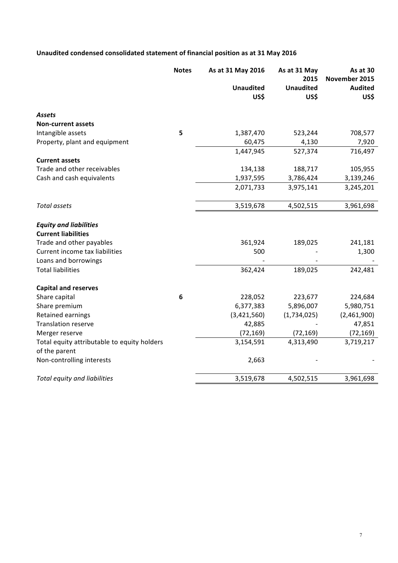# Unaudited condensed consolidated statement of financial position as at 31 May 2016

|                                             | <b>Notes</b> | As at 31 May 2016 | As at 31 May<br>2015 | As at 30<br>November 2015 |
|---------------------------------------------|--------------|-------------------|----------------------|---------------------------|
|                                             |              | <b>Unaudited</b>  | <b>Unaudited</b>     | <b>Audited</b>            |
|                                             |              | US\$              | US\$                 | US\$                      |
| <b>Assets</b>                               |              |                   |                      |                           |
| <b>Non-current assets</b>                   |              |                   |                      |                           |
| Intangible assets                           | 5            | 1,387,470         | 523,244              | 708,577                   |
| Property, plant and equipment               |              | 60,475            | 4,130                | 7,920                     |
|                                             |              | 1,447,945         | 527,374              | 716,497                   |
| <b>Current assets</b>                       |              |                   |                      |                           |
| Trade and other receivables                 |              | 134,138           | 188,717              | 105,955                   |
| Cash and cash equivalents                   |              | 1,937,595         | 3,786,424            | 3,139,246                 |
|                                             |              | 2,071,733         | 3,975,141            | 3,245,201                 |
| Total assets                                |              | 3,519,678         | 4,502,515            | 3,961,698                 |
| <b>Equity and liabilities</b>               |              |                   |                      |                           |
| <b>Current liabilities</b>                  |              |                   |                      |                           |
| Trade and other payables                    |              | 361,924           | 189,025              | 241,181                   |
| Current income tax liabilities              |              | 500               |                      | 1,300                     |
| Loans and borrowings                        |              |                   |                      |                           |
| <b>Total liabilities</b>                    |              | 362,424           | 189,025              | 242,481                   |
| <b>Capital and reserves</b>                 |              |                   |                      |                           |
| Share capital                               | 6            | 228,052           | 223,677              | 224,684                   |
| Share premium                               |              | 6,377,383         | 5,896,007            | 5,980,751                 |
| Retained earnings                           |              | (3,421,560)       | (1,734,025)          | (2,461,900)               |
| <b>Translation reserve</b>                  |              | 42,885            |                      | 47,851                    |
| Merger reserve                              |              | (72, 169)         | (72, 169)            | (72, 169)                 |
| Total equity attributable to equity holders |              | 3,154,591         | 4,313,490            | 3,719,217                 |
| of the parent                               |              |                   |                      |                           |
| Non-controlling interests                   |              | 2,663             |                      |                           |
| Total equity and liabilities                |              | 3,519,678         | 4,502,515            | 3,961,698                 |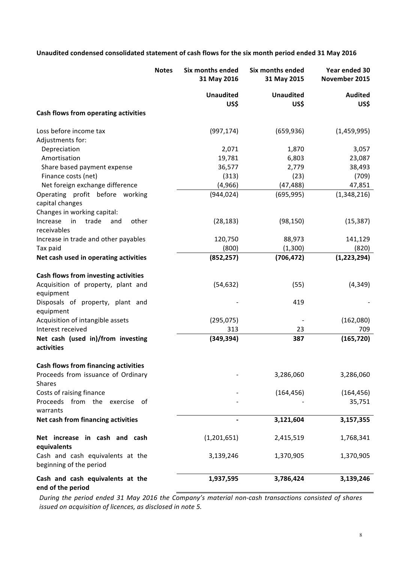# Unaudited condensed consolidated statement of cash flows for the six month period ended 31 May 2016

|                                                             | <b>Notes</b> | Six months ended<br>31 May 2016 | Six months ended<br>31 May 2015 | Year ended 30<br>November 2015 |
|-------------------------------------------------------------|--------------|---------------------------------|---------------------------------|--------------------------------|
|                                                             |              | <b>Unaudited</b>                | <b>Unaudited</b>                | <b>Audited</b>                 |
| Cash flows from operating activities                        |              | US\$                            | US\$                            | US\$                           |
|                                                             |              |                                 |                                 |                                |
| Loss before income tax                                      |              | (997, 174)                      | (659, 936)                      | (1,459,995)                    |
| Adjustments for:                                            |              |                                 |                                 |                                |
| Depreciation                                                |              | 2,071                           | 1,870                           | 3,057                          |
| Amortisation                                                |              | 19,781                          | 6,803                           | 23,087                         |
| Share based payment expense                                 |              | 36,577                          | 2,779                           | 38,493                         |
| Finance costs (net)                                         |              | (313)                           | (23)                            | (709)                          |
| Net foreign exchange difference                             |              | (4,966)                         | (47, 488)                       | 47,851                         |
| Operating profit before working<br>capital changes          |              | (944, 024)                      | (695, 995)                      | (1,348,216)                    |
| Changes in working capital:                                 |              |                                 |                                 |                                |
| trade<br>Increase<br>in<br>other<br>and<br>receivables      |              | (28, 183)                       | (98, 150)                       | (15, 387)                      |
| Increase in trade and other payables                        |              | 120,750                         | 88,973                          | 141,129                        |
| Tax paid                                                    |              | (800)                           | (1,300)                         | (820)                          |
| Net cash used in operating activities                       |              | (852, 257)                      | (706, 472)                      | (1,223,294)                    |
| Cash flows from investing activities                        |              |                                 |                                 |                                |
| Acquisition of property, plant and                          |              | (54, 632)                       | (55)                            | (4, 349)                       |
| equipment                                                   |              |                                 |                                 |                                |
| Disposals of property, plant and                            |              |                                 | 419                             |                                |
| equipment                                                   |              |                                 |                                 |                                |
| Acquisition of intangible assets                            |              | (295, 075)                      |                                 | (162,080)                      |
| Interest received                                           |              | 313                             | 23                              | 709                            |
| Net cash (used in)/from investing                           |              | (349, 394)                      | 387                             | (165, 720)                     |
| activities                                                  |              |                                 |                                 |                                |
| <b>Cash flows from financing activities</b>                 |              |                                 |                                 |                                |
| Proceeds from issuance of Ordinary<br><b>Shares</b>         |              |                                 | 3,286,060                       | 3,286,060                      |
| Costs of raising finance                                    |              |                                 | (164, 456)                      | (164, 456)                     |
| Proceeds from the<br>exercise of<br>warrants                |              |                                 |                                 | 35,751                         |
| Net cash from financing activities                          |              |                                 | 3,121,604                       | 3,157,355                      |
| Net increase in cash and cash<br>equivalents                |              | (1,201,651)                     | 2,415,519                       | 1,768,341                      |
| Cash and cash equivalents at the<br>beginning of the period |              | 3,139,246                       | 1,370,905                       | 1,370,905                      |
| Cash and cash equivalents at the<br>end of the period       |              | 1,937,595                       | 3,786,424                       | 3,139,246                      |

*During* the period ended 31 May 2016 the Company's material non-cash transactions consisted of shares *issued* on acquisition of licences, as disclosed in note 5.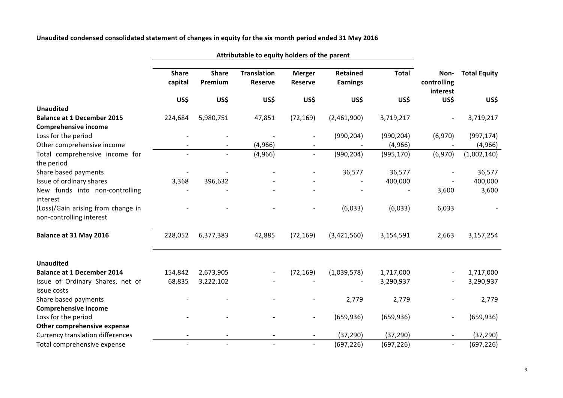## Unaudited condensed consolidated statement of changes in equity for the six month period ended 31 May 2016

|                                                                | <b>Share</b><br>capital | <b>Share</b><br>Premium | <b>Translation</b><br><b>Reserve</b> | <b>Merger</b><br><b>Reserve</b> | <b>Retained</b><br><b>Earnings</b> | <b>Total</b> | Non-<br>controlling<br>interest | <b>Total Equity</b> |
|----------------------------------------------------------------|-------------------------|-------------------------|--------------------------------------|---------------------------------|------------------------------------|--------------|---------------------------------|---------------------|
|                                                                | US\$                    | US\$                    | US\$                                 | US\$                            | US\$                               | US\$         | US\$                            | US\$                |
| <b>Unaudited</b>                                               |                         |                         |                                      |                                 |                                    |              |                                 |                     |
| <b>Balance at 1 December 2015</b>                              | 224,684                 | 5,980,751               | 47,851                               | (72, 169)                       | (2,461,900)                        | 3,719,217    |                                 | 3,719,217           |
| <b>Comprehensive income</b>                                    |                         |                         |                                      |                                 |                                    |              |                                 |                     |
| Loss for the period                                            |                         |                         |                                      |                                 | (990, 204)                         | (990, 204)   | (6,970)                         | (997, 174)          |
| Other comprehensive income                                     |                         |                         | (4,966)                              |                                 |                                    | (4, 966)     |                                 | (4, 966)            |
| Total comprehensive income for<br>the period                   |                         |                         | (4,966)                              |                                 | (990, 204)                         | (995, 170)   | (6,970)                         | (1,002,140)         |
| Share based payments                                           |                         |                         |                                      |                                 | 36,577                             | 36,577       |                                 | 36,577              |
| Issue of ordinary shares                                       | 3,368                   | 396,632                 |                                      |                                 |                                    | 400,000      |                                 | 400,000             |
| New funds into non-controlling<br>interest                     |                         |                         |                                      |                                 |                                    |              | 3,600                           | 3,600               |
| (Loss)/Gain arising from change in<br>non-controlling interest |                         |                         |                                      |                                 | (6,033)                            | (6,033)      | 6,033                           |                     |
| Balance at 31 May 2016                                         | 228,052                 | 6,377,383               | 42,885                               | (72, 169)                       | (3,421,560)                        | 3,154,591    | 2,663                           | 3,157,254           |
| <b>Unaudited</b>                                               |                         |                         |                                      |                                 |                                    |              |                                 |                     |
| <b>Balance at 1 December 2014</b>                              | 154,842                 | 2,673,905               |                                      | (72, 169)                       | (1,039,578)                        | 1,717,000    |                                 | 1,717,000           |
| Issue of Ordinary Shares, net of<br>issue costs                | 68,835                  | 3,222,102               |                                      |                                 |                                    | 3,290,937    |                                 | 3,290,937           |
| Share based payments                                           |                         |                         |                                      |                                 | 2,779                              | 2,779        |                                 | 2,779               |
| <b>Comprehensive income</b>                                    |                         |                         |                                      |                                 |                                    |              |                                 |                     |
| Loss for the period                                            |                         |                         |                                      |                                 | (659, 936)                         | (659, 936)   | $\overline{\phantom{a}}$        | (659, 936)          |
| Other comprehensive expense                                    |                         |                         |                                      |                                 |                                    |              |                                 |                     |
| <b>Currency translation differences</b>                        |                         |                         |                                      |                                 | (37, 290)                          | (37, 290)    |                                 | (37, 290)           |
| Total comprehensive expense                                    |                         |                         |                                      |                                 | (697, 226)                         | (697, 226)   | $\blacksquare$                  | (697, 226)          |

Attributable to equity holders of the parent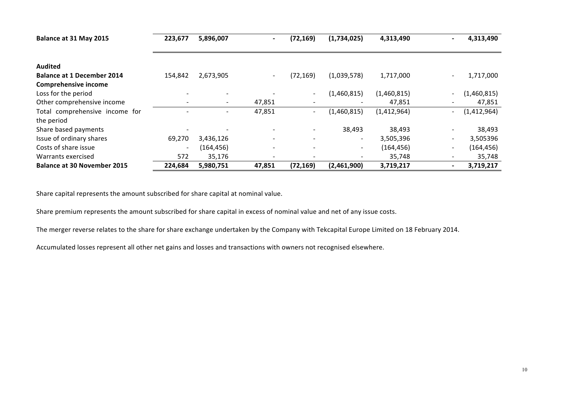| Balance at 31 May 2015             | 223,677                      | 5,896,007  | $\overline{\phantom{0}}$ | (72, 169)                | (1,734,025)              | 4,313,490   | $\blacksquare$           | 4,313,490   |
|------------------------------------|------------------------------|------------|--------------------------|--------------------------|--------------------------|-------------|--------------------------|-------------|
|                                    |                              |            |                          |                          |                          |             |                          |             |
| <b>Audited</b>                     |                              |            |                          |                          |                          |             |                          |             |
| <b>Balance at 1 December 2014</b>  | 154,842                      | 2,673,905  | $\overline{\phantom{a}}$ | (72, 169)                | (1,039,578)              | 1,717,000   |                          | 1,717,000   |
| <b>Comprehensive income</b>        |                              |            |                          |                          |                          |             |                          |             |
| Loss for the period                |                              |            |                          | $\overline{\phantom{a}}$ | (1,460,815)              | (1,460,815) |                          | (1,460,815) |
| Other comprehensive income         | $\qquad \qquad \blacksquare$ |            | 47,851                   |                          |                          | 47,851      |                          | 47,851      |
| Total comprehensive income for     | ٠                            |            | 47,851                   | $\overline{\phantom{a}}$ | (1,460,815)              | (1,412,964) | Ξ.                       | (1,412,964) |
| the period                         |                              |            |                          |                          |                          |             |                          |             |
| Share based payments               |                              |            | $\overline{\phantom{a}}$ |                          | 38,493                   | 38,493      |                          | 38,493      |
| Issue of ordinary shares           | 69,270                       | 3,436,126  | $\overline{\phantom{a}}$ |                          | $\overline{\phantom{a}}$ | 3,505,396   | $\overline{\phantom{0}}$ | 3,505396    |
| Costs of share issue               | $\overline{\phantom{a}}$     | (164, 456) | $\overline{\phantom{a}}$ |                          | $\sim$                   | (164,456)   | $\overline{\phantom{0}}$ | (164, 456)  |
| Warrants exercised                 | 572                          | 35,176     | $\overline{\phantom{a}}$ |                          | $\overline{\phantom{a}}$ | 35,748      |                          | 35,748      |
| <b>Balance at 30 November 2015</b> | 224,684                      | 5,980,751  | 47,851                   | (72, 169)                | (2,461,900)              | 3,719,217   |                          | 3,719,217   |

Share capital represents the amount subscribed for share capital at nominal value.

Share premium represents the amount subscribed for share capital in excess of nominal value and net of any issue costs.

The merger reverse relates to the share for share exchange undertaken by the Company with Tekcapital Europe Limited on 18 February 2014.

Accumulated losses represent all other net gains and losses and transactions with owners not recognised elsewhere.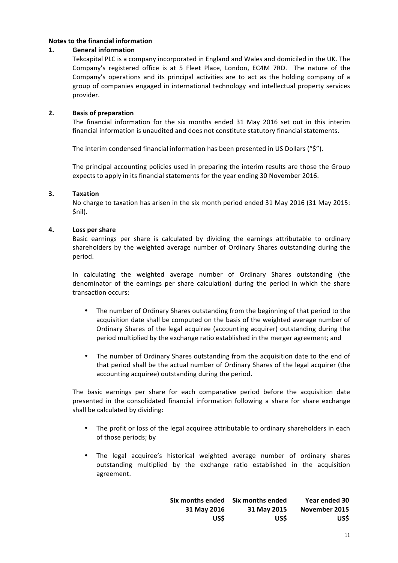### **Notes to the financial information**

### 1. **General information**

Tekcapital PLC is a company incorporated in England and Wales and domiciled in the UK. The Company's registered office is at 5 Fleet Place, London, EC4M 7RD. The nature of the Company's operations and its principal activities are to act as the holding company of a group of companies engaged in international technology and intellectual property services provider.

### **2. Basis of preparation**

The financial information for the six months ended 31 May 2016 set out in this interim financial information is unaudited and does not constitute statutory financial statements.

The interim condensed financial information has been presented in US Dollars ("\$").

The principal accounting policies used in preparing the interim results are those the Group expects to apply in its financial statements for the year ending 30 November 2016.

### **3. Taxation**

No charge to taxation has arisen in the six month period ended 31 May 2016 (31 May 2015: \$nil).

### **4. Loss per share**

Basic earnings per share is calculated by dividing the earnings attributable to ordinary shareholders by the weighted average number of Ordinary Shares outstanding during the period.

In calculating the weighted average number of Ordinary Shares outstanding (the denominator of the earnings per share calculation) during the period in which the share transaction occurs:

- The number of Ordinary Shares outstanding from the beginning of that period to the acquisition date shall be computed on the basis of the weighted average number of Ordinary Shares of the legal acquiree (accounting acquirer) outstanding during the period multiplied by the exchange ratio established in the merger agreement; and
- The number of Ordinary Shares outstanding from the acquisition date to the end of that period shall be the actual number of Ordinary Shares of the legal acquirer (the accounting acquiree) outstanding during the period.

The basic earnings per share for each comparative period before the acquisition date presented in the consolidated financial information following a share for share exchange shall be calculated by dividing:

- The profit or loss of the legal acquiree attributable to ordinary shareholders in each of those periods; by
- The legal acquiree's historical weighted average number of ordinary shares outstanding multiplied by the exchange ratio established in the acquisition agreement.

| Year ended 30 | Six months ended | Six months ended |
|---------------|------------------|------------------|
| November 2015 | 31 May 2015      | 31 May 2016      |
| US\$          | <b>USS</b>       | US\$             |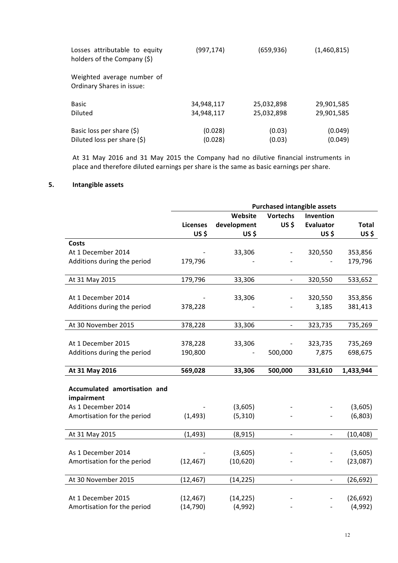| Losses attributable to equity<br>holders of the Company (\$) | (997,174)  | (659, 936) | (1,460,815) |
|--------------------------------------------------------------|------------|------------|-------------|
| Weighted average number of<br>Ordinary Shares in issue:      |            |            |             |
| <b>Basic</b>                                                 | 34,948,117 | 25,032,898 | 29,901,585  |
| <b>Diluted</b>                                               | 34,948,117 | 25,032,898 | 29,901,585  |
| Basic loss per share $(\xi)$                                 | (0.028)    | (0.03)     | (0.049)     |
| Diluted loss per share $(\xi)$                               | (0.028)    | (0.03)     | (0.049)     |

At 31 May 2016 and 31 May 2015 the Company had no dilutive financial instruments in place and therefore diluted earnings per share is the same as basic earnings per share.

# **5. Intangible assets**

|                              |                 |                              | <b>Purchased intangible assets</b> |                          |              |
|------------------------------|-----------------|------------------------------|------------------------------------|--------------------------|--------------|
|                              |                 | Website                      | <b>Vortechs</b>                    | Invention                |              |
|                              | <b>Licenses</b> | development                  | US\$                               | <b>Evaluator</b>         | <b>Total</b> |
|                              | US\$            | US\$                         |                                    | US\$                     | US\$         |
| <b>Costs</b>                 |                 |                              |                                    |                          |              |
| At 1 December 2014           |                 | 33,306                       |                                    | 320,550                  | 353,856      |
| Additions during the period  | 179,796         |                              |                                    |                          | 179,796      |
| At 31 May 2015               | 179,796         | 33,306                       | $\overline{a}$                     | 320,550                  | 533,652      |
| At 1 December 2014           |                 | 33,306                       |                                    | 320,550                  | 353,856      |
| Additions during the period  | 378,228         |                              |                                    | 3,185                    | 381,413      |
| At 30 November 2015          | 378,228         | 33,306                       | $\frac{1}{2}$                      | 323,735                  | 735,269      |
|                              |                 |                              |                                    |                          |              |
| At 1 December 2015           | 378,228         | 33,306                       |                                    | 323,735                  | 735,269      |
| Additions during the period  | 190,800         | $\qquad \qquad \blacksquare$ | 500,000                            | 7,875                    | 698,675      |
| At 31 May 2016               | 569,028         | 33,306                       | 500,000                            | 331,610                  | 1,433,944    |
| Accumulated amortisation and |                 |                              |                                    |                          |              |
| impairment                   |                 |                              |                                    |                          |              |
| As 1 December 2014           |                 | (3,605)                      |                                    |                          | (3,605)      |
| Amortisation for the period  | (1, 493)        | (5, 310)                     |                                    |                          | (6,803)      |
|                              |                 |                              |                                    |                          |              |
| At 31 May 2015               | (1, 493)        | (8, 915)                     | $\blacksquare$                     | $\overline{\phantom{a}}$ | (10, 408)    |
| As 1 December 2014           |                 | (3,605)                      |                                    |                          | (3,605)      |
| Amortisation for the period  | (12, 467)       | (10,620)                     |                                    |                          | (23,087)     |
|                              |                 |                              |                                    |                          |              |
| At 30 November 2015          | (12, 467)       | (14, 225)                    | $\qquad \qquad -$                  | $\overline{\phantom{0}}$ | (26, 692)    |
|                              |                 |                              |                                    |                          |              |
| At 1 December 2015           | (12, 467)       | (14, 225)                    |                                    |                          | (26, 692)    |
| Amortisation for the period  | (14, 790)       | (4,992)                      |                                    |                          | (4,992)      |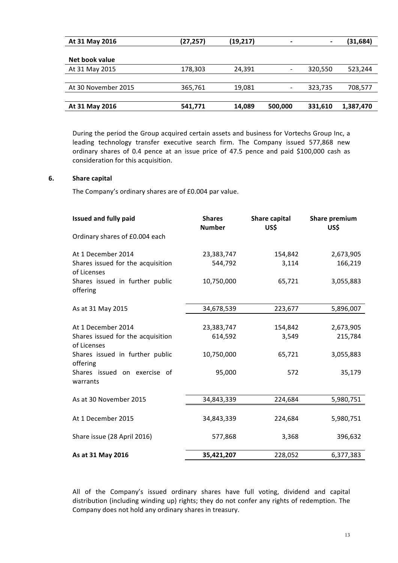| At 31 May 2016      | (27, 257) | (19, 217) |         |         | (31,684)  |
|---------------------|-----------|-----------|---------|---------|-----------|
|                     |           |           |         |         |           |
| Net book value      |           |           |         |         |           |
| At 31 May 2015      | 178,303   | 24,391    |         | 320,550 | 523,244   |
|                     |           |           |         |         |           |
| At 30 November 2015 | 365,761   | 19,081    |         | 323,735 | 708,577   |
|                     |           |           |         |         |           |
| At 31 May 2016      | 541,771   | 14,089    | 500,000 | 331,610 | 1,387,470 |

During the period the Group acquired certain assets and business for Vortechs Group Inc, a leading technology transfer executive search firm. The Company issued 577,868 new ordinary shares of 0.4 pence at an issue price of 47.5 pence and paid \$100,000 cash as consideration for this acquisition.

### **6. Share capital**

The Company's ordinary shares are of £0.004 par value.

| <b>Issued and fully paid</b>                     | <b>Shares</b><br><b>Number</b> | Share capital<br>US\$ | <b>Share premium</b><br>US\$ |
|--------------------------------------------------|--------------------------------|-----------------------|------------------------------|
| Ordinary shares of £0.004 each                   |                                |                       |                              |
| At 1 December 2014                               | 23,383,747                     | 154,842               | 2,673,905                    |
| Shares issued for the acquisition<br>of Licenses | 544,792                        | 3,114                 | 166,219                      |
| Shares issued in further public<br>offering      | 10,750,000                     | 65,721                | 3,055,883                    |
| As at 31 May 2015                                | 34,678,539                     | 223,677               | 5,896,007                    |
|                                                  |                                |                       |                              |
| At 1 December 2014                               | 23,383,747                     | 154,842               | 2,673,905                    |
| Shares issued for the acquisition<br>of Licenses | 614,592                        | 3,549                 | 215,784                      |
| Shares issued in further public<br>offering      | 10,750,000                     | 65,721                | 3,055,883                    |
| Shares issued on exercise of<br>warrants         | 95,000                         | 572                   | 35,179                       |
|                                                  |                                |                       |                              |
| As at 30 November 2015                           | 34,843,339                     | 224,684               | 5,980,751                    |
|                                                  |                                |                       |                              |
| At 1 December 2015                               | 34,843,339                     | 224,684               | 5,980,751                    |
| Share issue (28 April 2016)                      | 577,868                        | 3,368                 | 396,632                      |
| As at 31 May 2016                                | 35,421,207                     | 228,052               | 6,377,383                    |

All of the Company's issued ordinary shares have full voting, dividend and capital distribution (including winding up) rights; they do not confer any rights of redemption. The Company does not hold any ordinary shares in treasury.